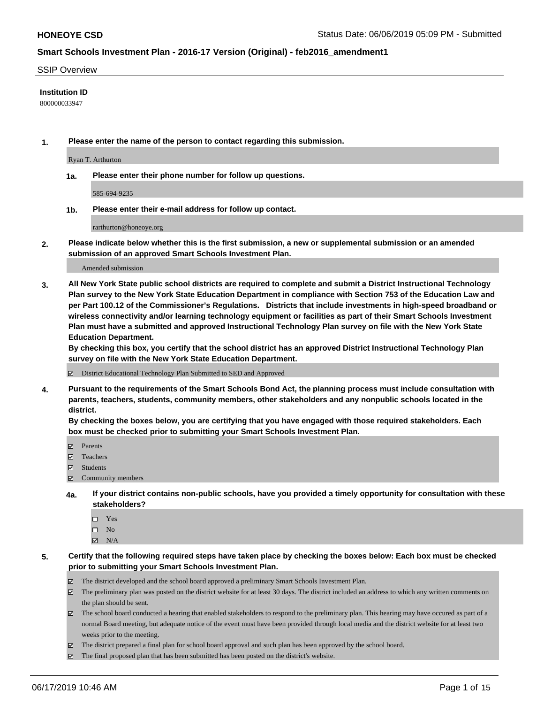#### SSIP Overview

### **Institution ID**

800000033947

**1. Please enter the name of the person to contact regarding this submission.**

Ryan T. Arthurton

**1a. Please enter their phone number for follow up questions.**

585-694-9235

**1b. Please enter their e-mail address for follow up contact.**

rarthurton@honeoye.org

**2. Please indicate below whether this is the first submission, a new or supplemental submission or an amended submission of an approved Smart Schools Investment Plan.**

#### Amended submission

**3. All New York State public school districts are required to complete and submit a District Instructional Technology Plan survey to the New York State Education Department in compliance with Section 753 of the Education Law and per Part 100.12 of the Commissioner's Regulations. Districts that include investments in high-speed broadband or wireless connectivity and/or learning technology equipment or facilities as part of their Smart Schools Investment Plan must have a submitted and approved Instructional Technology Plan survey on file with the New York State Education Department.** 

**By checking this box, you certify that the school district has an approved District Instructional Technology Plan survey on file with the New York State Education Department.**

District Educational Technology Plan Submitted to SED and Approved

**4. Pursuant to the requirements of the Smart Schools Bond Act, the planning process must include consultation with parents, teachers, students, community members, other stakeholders and any nonpublic schools located in the district.** 

**By checking the boxes below, you are certifying that you have engaged with those required stakeholders. Each box must be checked prior to submitting your Smart Schools Investment Plan.**

- Parents
- Teachers
- Students
- Community members
- **4a. If your district contains non-public schools, have you provided a timely opportunity for consultation with these stakeholders?**
	- □ Yes
	- $\square$  No
	- $N/A$

**5. Certify that the following required steps have taken place by checking the boxes below: Each box must be checked prior to submitting your Smart Schools Investment Plan.**

- The district developed and the school board approved a preliminary Smart Schools Investment Plan.
- $\boxtimes$  The preliminary plan was posted on the district website for at least 30 days. The district included an address to which any written comments on the plan should be sent.
- $\boxtimes$  The school board conducted a hearing that enabled stakeholders to respond to the preliminary plan. This hearing may have occured as part of a normal Board meeting, but adequate notice of the event must have been provided through local media and the district website for at least two weeks prior to the meeting.
- The district prepared a final plan for school board approval and such plan has been approved by the school board.
- $\boxtimes$  The final proposed plan that has been submitted has been posted on the district's website.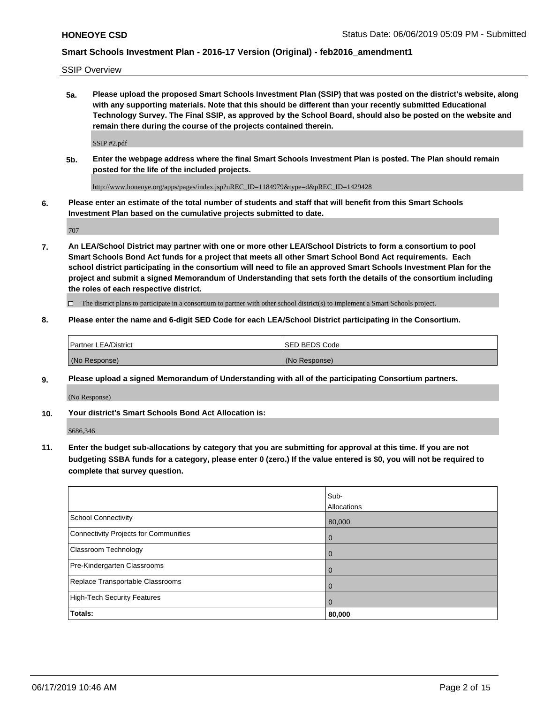SSIP Overview

**5a. Please upload the proposed Smart Schools Investment Plan (SSIP) that was posted on the district's website, along with any supporting materials. Note that this should be different than your recently submitted Educational Technology Survey. The Final SSIP, as approved by the School Board, should also be posted on the website and remain there during the course of the projects contained therein.**

SSIP #2.pdf

**5b. Enter the webpage address where the final Smart Schools Investment Plan is posted. The Plan should remain posted for the life of the included projects.**

http://www.honeoye.org/apps/pages/index.jsp?uREC\_ID=1184979&type=d&pREC\_ID=1429428

**6. Please enter an estimate of the total number of students and staff that will benefit from this Smart Schools Investment Plan based on the cumulative projects submitted to date.**

707

**7. An LEA/School District may partner with one or more other LEA/School Districts to form a consortium to pool Smart Schools Bond Act funds for a project that meets all other Smart School Bond Act requirements. Each school district participating in the consortium will need to file an approved Smart Schools Investment Plan for the project and submit a signed Memorandum of Understanding that sets forth the details of the consortium including the roles of each respective district.**

 $\Box$  The district plans to participate in a consortium to partner with other school district(s) to implement a Smart Schools project.

### **8. Please enter the name and 6-digit SED Code for each LEA/School District participating in the Consortium.**

| Partner LEA/District | <b>ISED BEDS Code</b> |
|----------------------|-----------------------|
| (No Response)        | (No Response)         |

#### **9. Please upload a signed Memorandum of Understanding with all of the participating Consortium partners.**

(No Response)

**10. Your district's Smart Schools Bond Act Allocation is:**

\$686,346

**11. Enter the budget sub-allocations by category that you are submitting for approval at this time. If you are not budgeting SSBA funds for a category, please enter 0 (zero.) If the value entered is \$0, you will not be required to complete that survey question.**

|                                       | Sub-<br>Allocations |
|---------------------------------------|---------------------|
| <b>School Connectivity</b>            | 80,000              |
| Connectivity Projects for Communities | $\overline{0}$      |
| <b>Classroom Technology</b>           | 0                   |
| Pre-Kindergarten Classrooms           | 0                   |
| Replace Transportable Classrooms      | $\Omega$            |
| High-Tech Security Features           | $\overline{0}$      |
| Totals:                               | 80,000              |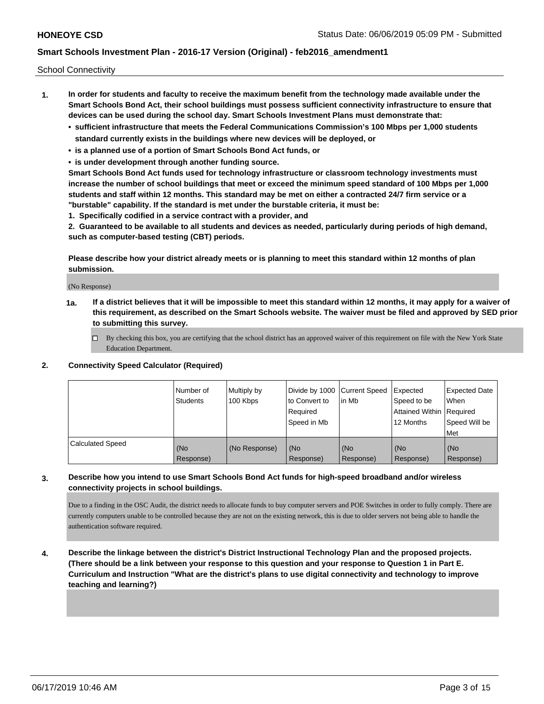School Connectivity

- **1. In order for students and faculty to receive the maximum benefit from the technology made available under the Smart Schools Bond Act, their school buildings must possess sufficient connectivity infrastructure to ensure that devices can be used during the school day. Smart Schools Investment Plans must demonstrate that:**
	- **• sufficient infrastructure that meets the Federal Communications Commission's 100 Mbps per 1,000 students standard currently exists in the buildings where new devices will be deployed, or**
	- **• is a planned use of a portion of Smart Schools Bond Act funds, or**
	- **• is under development through another funding source.**

**Smart Schools Bond Act funds used for technology infrastructure or classroom technology investments must increase the number of school buildings that meet or exceed the minimum speed standard of 100 Mbps per 1,000 students and staff within 12 months. This standard may be met on either a contracted 24/7 firm service or a "burstable" capability. If the standard is met under the burstable criteria, it must be:**

**1. Specifically codified in a service contract with a provider, and**

**2. Guaranteed to be available to all students and devices as needed, particularly during periods of high demand, such as computer-based testing (CBT) periods.**

**Please describe how your district already meets or is planning to meet this standard within 12 months of plan submission.**

(No Response)

**1a. If a district believes that it will be impossible to meet this standard within 12 months, it may apply for a waiver of this requirement, as described on the Smart Schools website. The waiver must be filed and approved by SED prior to submitting this survey.**

 $\Box$  By checking this box, you are certifying that the school district has an approved waiver of this requirement on file with the New York State Education Department.

#### **2. Connectivity Speed Calculator (Required)**

|                         | I Number of<br><b>Students</b> | Multiply by<br>100 Kbps | Divide by 1000 Current Speed<br>to Convert to<br>Required<br>Speed in Mb | lin Mb           | Expected<br>Speed to be<br>Attained Within   Required<br>12 Months | <b>Expected Date</b><br>When<br>Speed Will be<br><b>Met</b> |
|-------------------------|--------------------------------|-------------------------|--------------------------------------------------------------------------|------------------|--------------------------------------------------------------------|-------------------------------------------------------------|
| <b>Calculated Speed</b> | (No<br>Response)               | (No Response)           | (No<br>Response)                                                         | (No<br>Response) | (No<br>Response)                                                   | (No<br>Response)                                            |

## **3. Describe how you intend to use Smart Schools Bond Act funds for high-speed broadband and/or wireless connectivity projects in school buildings.**

Due to a finding in the OSC Audit, the district needs to allocate funds to buy computer servers and POE Switches in order to fully comply. There are currently computers unable to be controlled because they are not on the existing network, this is due to older servers not being able to handle the authentication software required.

**4. Describe the linkage between the district's District Instructional Technology Plan and the proposed projects. (There should be a link between your response to this question and your response to Question 1 in Part E. Curriculum and Instruction "What are the district's plans to use digital connectivity and technology to improve teaching and learning?)**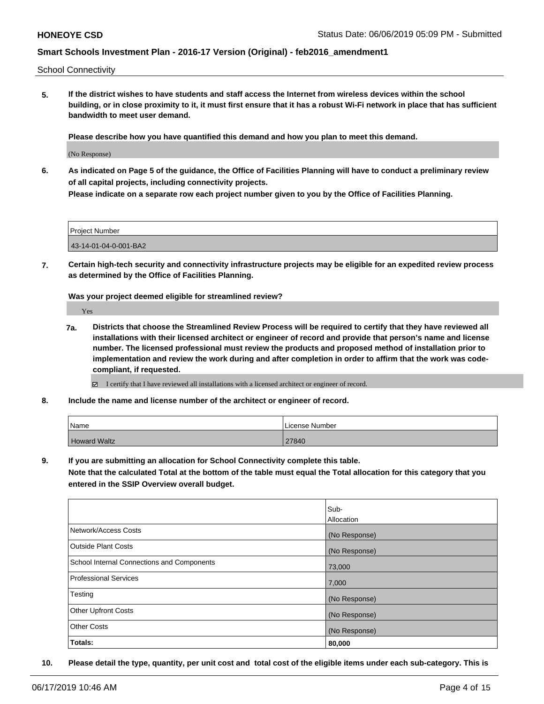School Connectivity

**5. If the district wishes to have students and staff access the Internet from wireless devices within the school building, or in close proximity to it, it must first ensure that it has a robust Wi-Fi network in place that has sufficient bandwidth to meet user demand.**

**Please describe how you have quantified this demand and how you plan to meet this demand.**

(No Response)

**6. As indicated on Page 5 of the guidance, the Office of Facilities Planning will have to conduct a preliminary review of all capital projects, including connectivity projects.**

**Please indicate on a separate row each project number given to you by the Office of Facilities Planning.**

| Project Number        |  |
|-----------------------|--|
| 43-14-01-04-0-001-BA2 |  |

**7. Certain high-tech security and connectivity infrastructure projects may be eligible for an expedited review process as determined by the Office of Facilities Planning.**

**Was your project deemed eligible for streamlined review?**

Yes

**7a. Districts that choose the Streamlined Review Process will be required to certify that they have reviewed all installations with their licensed architect or engineer of record and provide that person's name and license number. The licensed professional must review the products and proposed method of installation prior to implementation and review the work during and after completion in order to affirm that the work was codecompliant, if requested.**

I certify that I have reviewed all installations with a licensed architect or engineer of record.

**8. Include the name and license number of the architect or engineer of record.**

| Name                | License Number |
|---------------------|----------------|
| <b>Howard Waltz</b> | 27840          |

**9. If you are submitting an allocation for School Connectivity complete this table.**

**Note that the calculated Total at the bottom of the table must equal the Total allocation for this category that you entered in the SSIP Overview overall budget.** 

|                                                   | Sub-              |
|---------------------------------------------------|-------------------|
|                                                   | <b>Allocation</b> |
| Network/Access Costs                              | (No Response)     |
| Outside Plant Costs                               | (No Response)     |
| <b>School Internal Connections and Components</b> | 73,000            |
| <b>Professional Services</b>                      | 7,000             |
| Testing                                           | (No Response)     |
| <b>Other Upfront Costs</b>                        | (No Response)     |
| <b>Other Costs</b>                                | (No Response)     |
| Totals:                                           | 80,000            |

**10. Please detail the type, quantity, per unit cost and total cost of the eligible items under each sub-category. This is**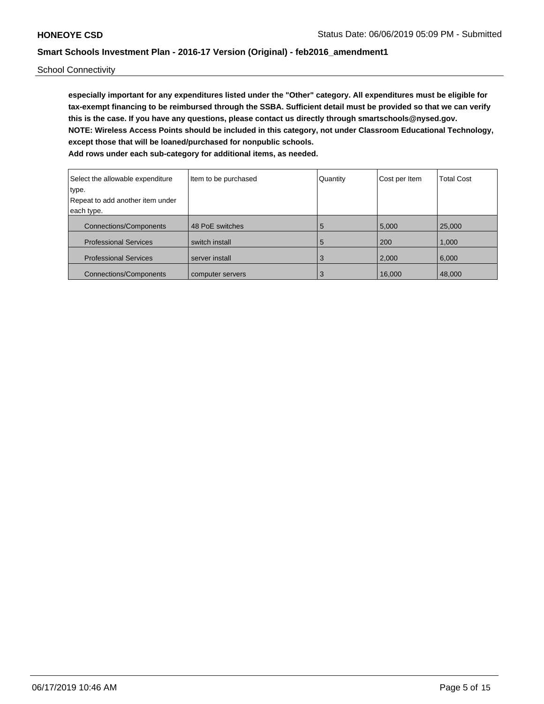School Connectivity

**especially important for any expenditures listed under the "Other" category. All expenditures must be eligible for tax-exempt financing to be reimbursed through the SSBA. Sufficient detail must be provided so that we can verify this is the case. If you have any questions, please contact us directly through smartschools@nysed.gov. NOTE: Wireless Access Points should be included in this category, not under Classroom Educational Technology, except those that will be loaned/purchased for nonpublic schools. Add rows under each sub-category for additional items, as needed.**

| Select the allowable expenditure<br>type. | Item to be purchased | Quantity | Cost per Item | <b>Total Cost</b> |
|-------------------------------------------|----------------------|----------|---------------|-------------------|
| Repeat to add another item under          |                      |          |               |                   |
| each type.                                |                      |          |               |                   |
| Connections/Components                    | 48 PoE switches      | 5        | 5,000         | 25,000            |
| <b>Professional Services</b>              | switch install       | 5        | 200           | 1,000             |
| <b>Professional Services</b>              | server install       | 3        | 2,000         | 6,000             |
| <b>Connections/Components</b>             | computer servers     | 3        | 16,000        | 48,000            |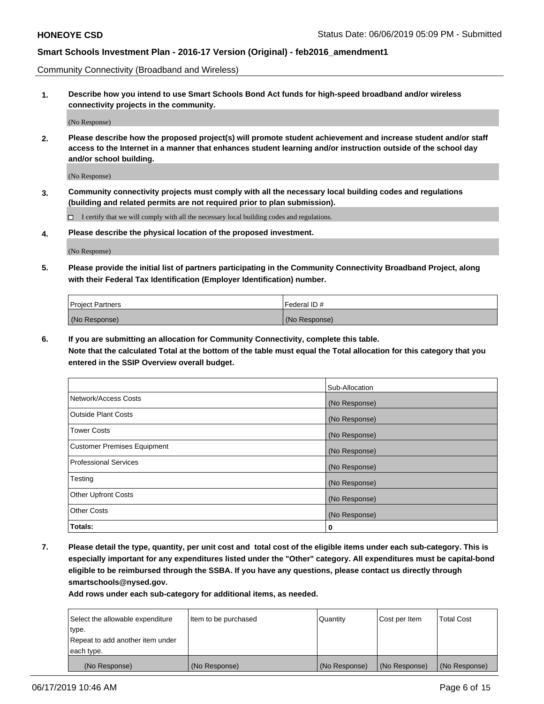Community Connectivity (Broadband and Wireless)

**1. Describe how you intend to use Smart Schools Bond Act funds for high-speed broadband and/or wireless connectivity projects in the community.**

(No Response)

**2. Please describe how the proposed project(s) will promote student achievement and increase student and/or staff access to the Internet in a manner that enhances student learning and/or instruction outside of the school day and/or school building.**

(No Response)

**3. Community connectivity projects must comply with all the necessary local building codes and regulations (building and related permits are not required prior to plan submission).**

 $\Box$  I certify that we will comply with all the necessary local building codes and regulations.

**4. Please describe the physical location of the proposed investment.**

(No Response)

**5. Please provide the initial list of partners participating in the Community Connectivity Broadband Project, along with their Federal Tax Identification (Employer Identification) number.**

| <b>Project Partners</b> | Federal ID#   |
|-------------------------|---------------|
| (No Response)           | (No Response) |

**6. If you are submitting an allocation for Community Connectivity, complete this table.**

**Note that the calculated Total at the bottom of the table must equal the Total allocation for this category that you entered in the SSIP Overview overall budget.**

|                                    | Sub-Allocation |
|------------------------------------|----------------|
| Network/Access Costs               | (No Response)  |
| <b>Outside Plant Costs</b>         | (No Response)  |
| <b>Tower Costs</b>                 | (No Response)  |
| <b>Customer Premises Equipment</b> | (No Response)  |
| <b>Professional Services</b>       | (No Response)  |
| Testing                            | (No Response)  |
| <b>Other Upfront Costs</b>         | (No Response)  |
| <b>Other Costs</b>                 | (No Response)  |
| Totals:                            | 0              |

**7. Please detail the type, quantity, per unit cost and total cost of the eligible items under each sub-category. This is especially important for any expenditures listed under the "Other" category. All expenditures must be capital-bond eligible to be reimbursed through the SSBA. If you have any questions, please contact us directly through smartschools@nysed.gov.**

| Select the allowable expenditure | Item to be purchased | Quantity      | Cost per Item | <b>Total Cost</b> |
|----------------------------------|----------------------|---------------|---------------|-------------------|
| type.                            |                      |               |               |                   |
| Repeat to add another item under |                      |               |               |                   |
| each type.                       |                      |               |               |                   |
| (No Response)                    | (No Response)        | (No Response) | (No Response) | (No Response)     |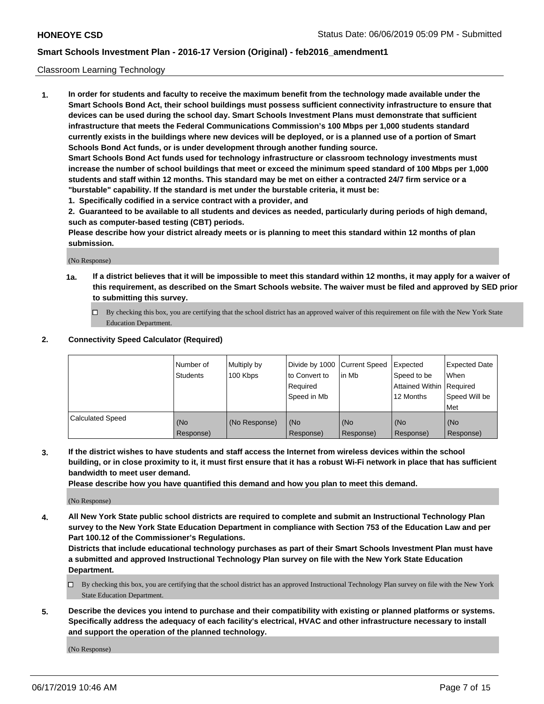### Classroom Learning Technology

**1. In order for students and faculty to receive the maximum benefit from the technology made available under the Smart Schools Bond Act, their school buildings must possess sufficient connectivity infrastructure to ensure that devices can be used during the school day. Smart Schools Investment Plans must demonstrate that sufficient infrastructure that meets the Federal Communications Commission's 100 Mbps per 1,000 students standard currently exists in the buildings where new devices will be deployed, or is a planned use of a portion of Smart Schools Bond Act funds, or is under development through another funding source. Smart Schools Bond Act funds used for technology infrastructure or classroom technology investments must increase the number of school buildings that meet or exceed the minimum speed standard of 100 Mbps per 1,000 students and staff within 12 months. This standard may be met on either a contracted 24/7 firm service or a**

**"burstable" capability. If the standard is met under the burstable criteria, it must be:**

**1. Specifically codified in a service contract with a provider, and**

**2. Guaranteed to be available to all students and devices as needed, particularly during periods of high demand, such as computer-based testing (CBT) periods.**

**Please describe how your district already meets or is planning to meet this standard within 12 months of plan submission.**

(No Response)

- **1a. If a district believes that it will be impossible to meet this standard within 12 months, it may apply for a waiver of this requirement, as described on the Smart Schools website. The waiver must be filed and approved by SED prior to submitting this survey.**
	- By checking this box, you are certifying that the school district has an approved waiver of this requirement on file with the New York State Education Department.

### **2. Connectivity Speed Calculator (Required)**

|                         | I Number of<br>Students | Multiply by<br>100 Kbps | to Convert to<br>Required<br>Speed in Mb | Divide by 1000 Current Speed Expected<br>lin Mb | Speed to be<br>Attained Within Required<br>12 Months | <b>Expected Date</b><br>When<br>Speed Will be<br>Met |
|-------------------------|-------------------------|-------------------------|------------------------------------------|-------------------------------------------------|------------------------------------------------------|------------------------------------------------------|
| <b>Calculated Speed</b> | (No<br>Response)        | (No Response)           | (No<br>Response)                         | (No<br>Response)                                | (No<br>Response)                                     | (No<br>Response)                                     |

**3. If the district wishes to have students and staff access the Internet from wireless devices within the school building, or in close proximity to it, it must first ensure that it has a robust Wi-Fi network in place that has sufficient bandwidth to meet user demand.**

**Please describe how you have quantified this demand and how you plan to meet this demand.**

(No Response)

**4. All New York State public school districts are required to complete and submit an Instructional Technology Plan survey to the New York State Education Department in compliance with Section 753 of the Education Law and per Part 100.12 of the Commissioner's Regulations.**

**Districts that include educational technology purchases as part of their Smart Schools Investment Plan must have a submitted and approved Instructional Technology Plan survey on file with the New York State Education Department.**

- $\Box$  By checking this box, you are certifying that the school district has an approved Instructional Technology Plan survey on file with the New York State Education Department.
- **5. Describe the devices you intend to purchase and their compatibility with existing or planned platforms or systems. Specifically address the adequacy of each facility's electrical, HVAC and other infrastructure necessary to install and support the operation of the planned technology.**

(No Response)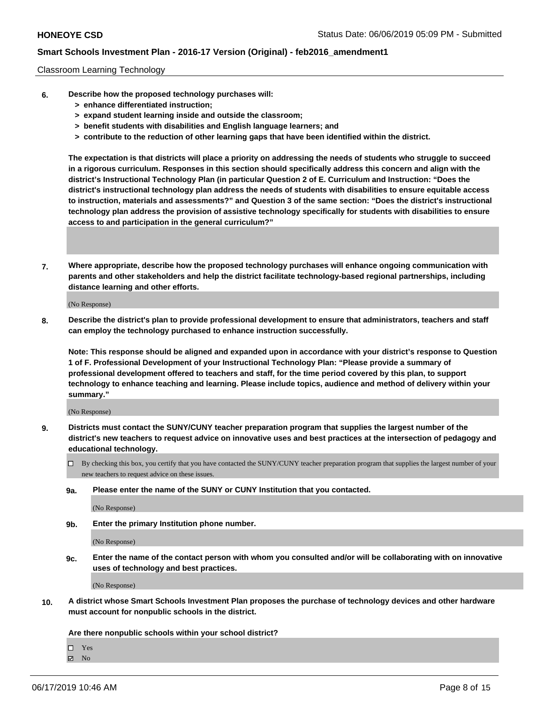### Classroom Learning Technology

- **6. Describe how the proposed technology purchases will:**
	- **> enhance differentiated instruction;**
	- **> expand student learning inside and outside the classroom;**
	- **> benefit students with disabilities and English language learners; and**
	- **> contribute to the reduction of other learning gaps that have been identified within the district.**

**The expectation is that districts will place a priority on addressing the needs of students who struggle to succeed in a rigorous curriculum. Responses in this section should specifically address this concern and align with the district's Instructional Technology Plan (in particular Question 2 of E. Curriculum and Instruction: "Does the district's instructional technology plan address the needs of students with disabilities to ensure equitable access to instruction, materials and assessments?" and Question 3 of the same section: "Does the district's instructional technology plan address the provision of assistive technology specifically for students with disabilities to ensure access to and participation in the general curriculum?"**

**7. Where appropriate, describe how the proposed technology purchases will enhance ongoing communication with parents and other stakeholders and help the district facilitate technology-based regional partnerships, including distance learning and other efforts.**

(No Response)

**8. Describe the district's plan to provide professional development to ensure that administrators, teachers and staff can employ the technology purchased to enhance instruction successfully.**

**Note: This response should be aligned and expanded upon in accordance with your district's response to Question 1 of F. Professional Development of your Instructional Technology Plan: "Please provide a summary of professional development offered to teachers and staff, for the time period covered by this plan, to support technology to enhance teaching and learning. Please include topics, audience and method of delivery within your summary."**

(No Response)

**9. Districts must contact the SUNY/CUNY teacher preparation program that supplies the largest number of the district's new teachers to request advice on innovative uses and best practices at the intersection of pedagogy and educational technology.**

By checking this box, you certify that you have contacted the SUNY/CUNY teacher preparation program that supplies the largest number of your new teachers to request advice on these issues.

**9a. Please enter the name of the SUNY or CUNY Institution that you contacted.**

(No Response)

**9b. Enter the primary Institution phone number.**

(No Response)

**9c. Enter the name of the contact person with whom you consulted and/or will be collaborating with on innovative uses of technology and best practices.**

(No Response)

**10. A district whose Smart Schools Investment Plan proposes the purchase of technology devices and other hardware must account for nonpublic schools in the district.**

**Are there nonpublic schools within your school district?**

Yes

 $\boxtimes$  No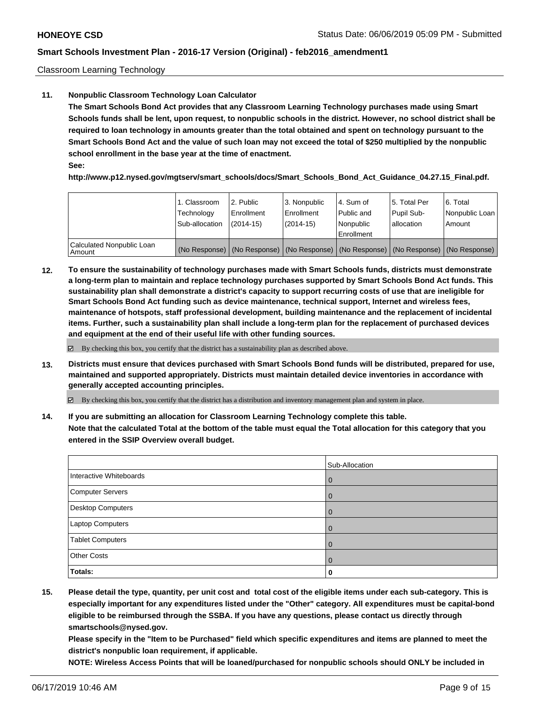Classroom Learning Technology

### **11. Nonpublic Classroom Technology Loan Calculator**

**The Smart Schools Bond Act provides that any Classroom Learning Technology purchases made using Smart Schools funds shall be lent, upon request, to nonpublic schools in the district. However, no school district shall be required to loan technology in amounts greater than the total obtained and spent on technology pursuant to the Smart Schools Bond Act and the value of such loan may not exceed the total of \$250 multiplied by the nonpublic school enrollment in the base year at the time of enactment. See:**

**http://www.p12.nysed.gov/mgtserv/smart\_schools/docs/Smart\_Schools\_Bond\_Act\_Guidance\_04.27.15\_Final.pdf.**

|                                         | 1. Classroom<br>Technology<br>Sub-allocation | l 2. Public<br>l Enrollment<br>$(2014 - 15)$ | l 3. Nonpublic<br>Enrollment<br>(2014-15) | 4. Sum of<br>Public and<br>l Nonpublic<br>Enrollment | 15. Total Per<br>Pupil Sub-<br>allocation | 6. Total<br>Nonpublic Loan<br>Amount                                                          |
|-----------------------------------------|----------------------------------------------|----------------------------------------------|-------------------------------------------|------------------------------------------------------|-------------------------------------------|-----------------------------------------------------------------------------------------------|
| Calculated Nonpublic Loan<br>l Amount i |                                              |                                              |                                           |                                                      |                                           | (No Response)   (No Response)   (No Response)   (No Response)   (No Response)   (No Response) |

**12. To ensure the sustainability of technology purchases made with Smart Schools funds, districts must demonstrate a long-term plan to maintain and replace technology purchases supported by Smart Schools Bond Act funds. This sustainability plan shall demonstrate a district's capacity to support recurring costs of use that are ineligible for Smart Schools Bond Act funding such as device maintenance, technical support, Internet and wireless fees, maintenance of hotspots, staff professional development, building maintenance and the replacement of incidental items. Further, such a sustainability plan shall include a long-term plan for the replacement of purchased devices and equipment at the end of their useful life with other funding sources.**

 $\boxtimes$  By checking this box, you certify that the district has a sustainability plan as described above.

**13. Districts must ensure that devices purchased with Smart Schools Bond funds will be distributed, prepared for use, maintained and supported appropriately. Districts must maintain detailed device inventories in accordance with generally accepted accounting principles.**

By checking this box, you certify that the district has a distribution and inventory management plan and system in place.

**14. If you are submitting an allocation for Classroom Learning Technology complete this table. Note that the calculated Total at the bottom of the table must equal the Total allocation for this category that you entered in the SSIP Overview overall budget.**

|                          | Sub-Allocation |
|--------------------------|----------------|
| Interactive Whiteboards  |                |
| <b>Computer Servers</b>  |                |
| <b>Desktop Computers</b> |                |
| Laptop Computers         |                |
| <b>Tablet Computers</b>  |                |
| <b>Other Costs</b>       |                |
| <b>Totals:</b>           | 0              |

**15. Please detail the type, quantity, per unit cost and total cost of the eligible items under each sub-category. This is especially important for any expenditures listed under the "Other" category. All expenditures must be capital-bond eligible to be reimbursed through the SSBA. If you have any questions, please contact us directly through smartschools@nysed.gov.**

**Please specify in the "Item to be Purchased" field which specific expenditures and items are planned to meet the district's nonpublic loan requirement, if applicable.**

**NOTE: Wireless Access Points that will be loaned/purchased for nonpublic schools should ONLY be included in**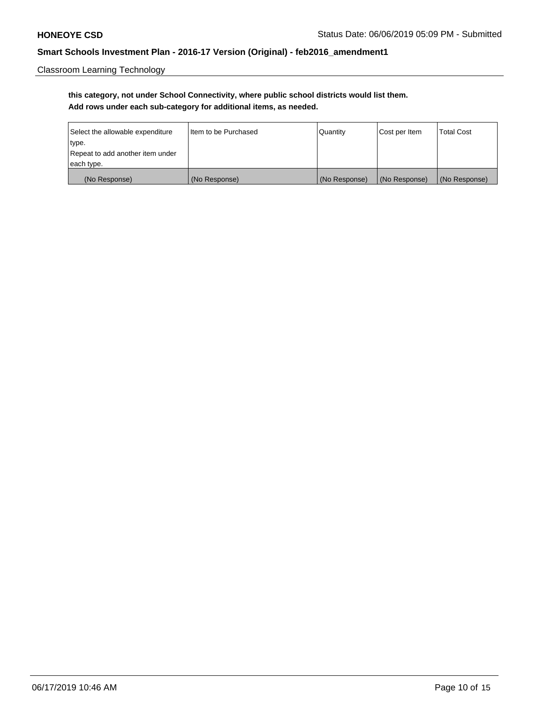Classroom Learning Technology

# **this category, not under School Connectivity, where public school districts would list them. Add rows under each sub-category for additional items, as needed.**

| Select the allowable expenditure | I Item to be Purchased | <b>Quantity</b> | Cost per Item | <b>Total Cost</b> |
|----------------------------------|------------------------|-----------------|---------------|-------------------|
| type.                            |                        |                 |               |                   |
| Repeat to add another item under |                        |                 |               |                   |
| each type.                       |                        |                 |               |                   |
| (No Response)                    | (No Response)          | (No Response)   | (No Response) | (No Response)     |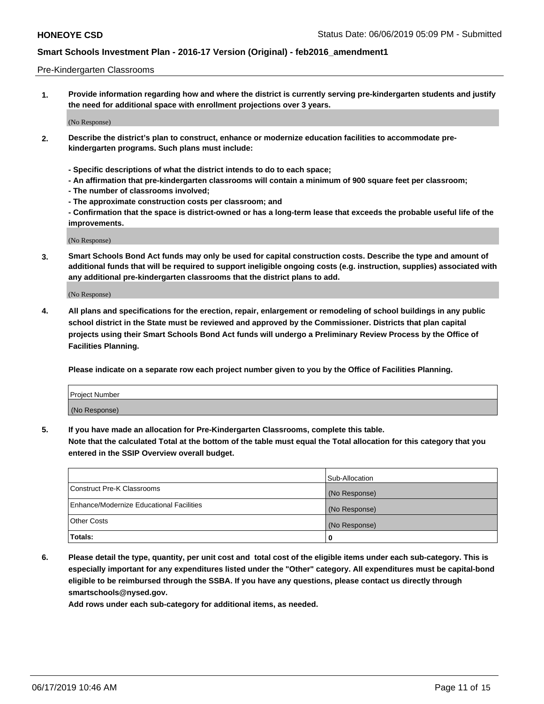#### Pre-Kindergarten Classrooms

**1. Provide information regarding how and where the district is currently serving pre-kindergarten students and justify the need for additional space with enrollment projections over 3 years.**

(No Response)

- **2. Describe the district's plan to construct, enhance or modernize education facilities to accommodate prekindergarten programs. Such plans must include:**
	- **Specific descriptions of what the district intends to do to each space;**
	- **An affirmation that pre-kindergarten classrooms will contain a minimum of 900 square feet per classroom;**
	- **The number of classrooms involved;**
	- **The approximate construction costs per classroom; and**
	- **Confirmation that the space is district-owned or has a long-term lease that exceeds the probable useful life of the improvements.**

(No Response)

**3. Smart Schools Bond Act funds may only be used for capital construction costs. Describe the type and amount of additional funds that will be required to support ineligible ongoing costs (e.g. instruction, supplies) associated with any additional pre-kindergarten classrooms that the district plans to add.**

(No Response)

**4. All plans and specifications for the erection, repair, enlargement or remodeling of school buildings in any public school district in the State must be reviewed and approved by the Commissioner. Districts that plan capital projects using their Smart Schools Bond Act funds will undergo a Preliminary Review Process by the Office of Facilities Planning.**

**Please indicate on a separate row each project number given to you by the Office of Facilities Planning.**

| Project Number |  |
|----------------|--|
| (No Response)  |  |
|                |  |

**5. If you have made an allocation for Pre-Kindergarten Classrooms, complete this table.**

**Note that the calculated Total at the bottom of the table must equal the Total allocation for this category that you entered in the SSIP Overview overall budget.**

|                                          | Sub-Allocation |
|------------------------------------------|----------------|
| Construct Pre-K Classrooms               | (No Response)  |
| Enhance/Modernize Educational Facilities | (No Response)  |
| <b>Other Costs</b>                       | (No Response)  |
| Totals:                                  | 0              |

**6. Please detail the type, quantity, per unit cost and total cost of the eligible items under each sub-category. This is especially important for any expenditures listed under the "Other" category. All expenditures must be capital-bond eligible to be reimbursed through the SSBA. If you have any questions, please contact us directly through smartschools@nysed.gov.**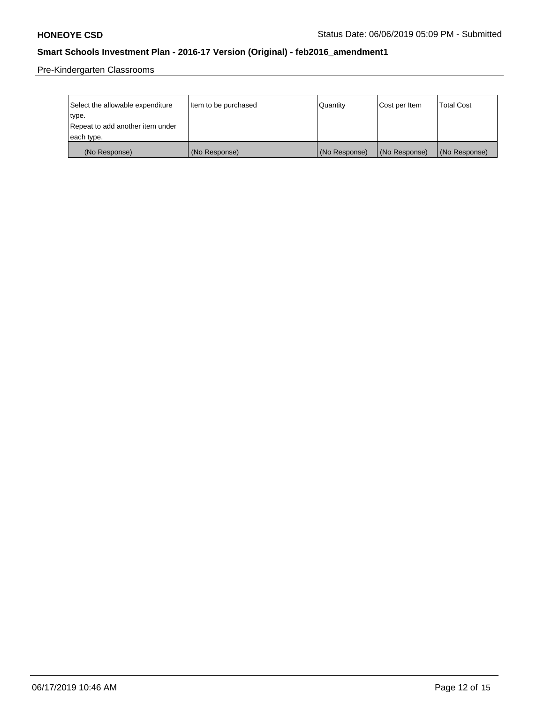Pre-Kindergarten Classrooms

| Select the allowable expenditure | Item to be purchased | Quantity      | Cost per Item | <b>Total Cost</b> |
|----------------------------------|----------------------|---------------|---------------|-------------------|
| type.                            |                      |               |               |                   |
| Repeat to add another item under |                      |               |               |                   |
| each type.                       |                      |               |               |                   |
| (No Response)                    | (No Response)        | (No Response) | (No Response) | (No Response)     |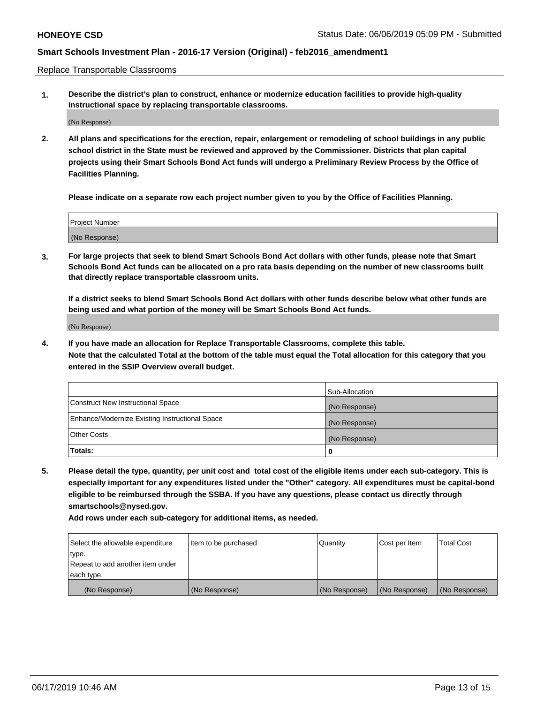Replace Transportable Classrooms

**1. Describe the district's plan to construct, enhance or modernize education facilities to provide high-quality instructional space by replacing transportable classrooms.**

(No Response)

**2. All plans and specifications for the erection, repair, enlargement or remodeling of school buildings in any public school district in the State must be reviewed and approved by the Commissioner. Districts that plan capital projects using their Smart Schools Bond Act funds will undergo a Preliminary Review Process by the Office of Facilities Planning.**

**Please indicate on a separate row each project number given to you by the Office of Facilities Planning.**

| Project Number |  |
|----------------|--|
|                |  |
|                |  |
|                |  |
|                |  |
| (No Response)  |  |
|                |  |
|                |  |
|                |  |

**3. For large projects that seek to blend Smart Schools Bond Act dollars with other funds, please note that Smart Schools Bond Act funds can be allocated on a pro rata basis depending on the number of new classrooms built that directly replace transportable classroom units.**

**If a district seeks to blend Smart Schools Bond Act dollars with other funds describe below what other funds are being used and what portion of the money will be Smart Schools Bond Act funds.**

(No Response)

**4. If you have made an allocation for Replace Transportable Classrooms, complete this table. Note that the calculated Total at the bottom of the table must equal the Total allocation for this category that you entered in the SSIP Overview overall budget.**

|                                                | Sub-Allocation |
|------------------------------------------------|----------------|
| Construct New Instructional Space              | (No Response)  |
| Enhance/Modernize Existing Instructional Space | (No Response)  |
| <b>Other Costs</b>                             | (No Response)  |
| Totals:                                        | 0              |

**5. Please detail the type, quantity, per unit cost and total cost of the eligible items under each sub-category. This is especially important for any expenditures listed under the "Other" category. All expenditures must be capital-bond eligible to be reimbursed through the SSBA. If you have any questions, please contact us directly through smartschools@nysed.gov.**

| Select the allowable expenditure | Item to be purchased | l Quantitv    | Cost per Item | <b>Total Cost</b> |
|----------------------------------|----------------------|---------------|---------------|-------------------|
| type.                            |                      |               |               |                   |
| Repeat to add another item under |                      |               |               |                   |
| each type.                       |                      |               |               |                   |
| (No Response)                    | (No Response)        | (No Response) | (No Response) | (No Response)     |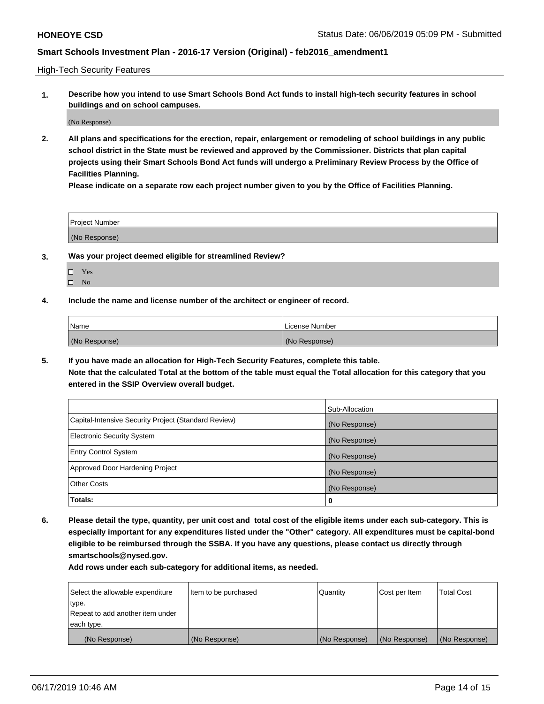High-Tech Security Features

**1. Describe how you intend to use Smart Schools Bond Act funds to install high-tech security features in school buildings and on school campuses.**

(No Response)

**2. All plans and specifications for the erection, repair, enlargement or remodeling of school buildings in any public school district in the State must be reviewed and approved by the Commissioner. Districts that plan capital projects using their Smart Schools Bond Act funds will undergo a Preliminary Review Process by the Office of Facilities Planning.** 

**Please indicate on a separate row each project number given to you by the Office of Facilities Planning.**

| <b>Project Number</b> |  |
|-----------------------|--|
| (No Response)         |  |

- **3. Was your project deemed eligible for streamlined Review?**
	- Yes
	- $\square$  No
- **4. Include the name and license number of the architect or engineer of record.**

| <b>Name</b>   | License Number |
|---------------|----------------|
| (No Response) | (No Response)  |

**5. If you have made an allocation for High-Tech Security Features, complete this table.**

**Note that the calculated Total at the bottom of the table must equal the Total allocation for this category that you entered in the SSIP Overview overall budget.**

|                                                      | Sub-Allocation |
|------------------------------------------------------|----------------|
| Capital-Intensive Security Project (Standard Review) | (No Response)  |
| <b>Electronic Security System</b>                    | (No Response)  |
| <b>Entry Control System</b>                          | (No Response)  |
| Approved Door Hardening Project                      | (No Response)  |
| <b>Other Costs</b>                                   | (No Response)  |
| Totals:                                              | 0              |

**6. Please detail the type, quantity, per unit cost and total cost of the eligible items under each sub-category. This is especially important for any expenditures listed under the "Other" category. All expenditures must be capital-bond eligible to be reimbursed through the SSBA. If you have any questions, please contact us directly through smartschools@nysed.gov.**

| Select the allowable expenditure | Item to be purchased | <b>Quantity</b> | Cost per Item | Total Cost    |
|----------------------------------|----------------------|-----------------|---------------|---------------|
| type.                            |                      |                 |               |               |
| Repeat to add another item under |                      |                 |               |               |
| each type.                       |                      |                 |               |               |
| (No Response)                    | (No Response)        | (No Response)   | (No Response) | (No Response) |